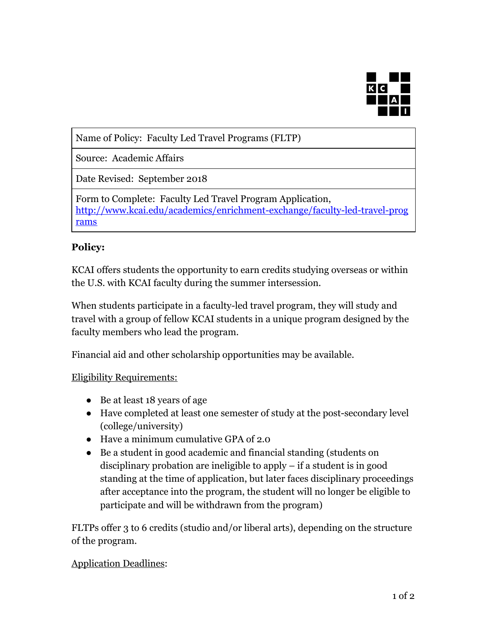

Name of Policy: Faculty Led Travel Programs (FLTP)

Source: Academic Affairs

Date Revised: September 2018

Form to Complete: Faculty Led Travel Program Application, [http://www.kcai.edu/academics/enrichment-exchange/faculty-led-travel-prog](http://www.kcai.edu/academics/enrichment-exchange/faculty-led-travel-programs) [rams](http://www.kcai.edu/academics/enrichment-exchange/faculty-led-travel-programs)

## **Policy:**

KCAI offers students the opportunity to earn credits studying overseas or within the U.S. with KCAI faculty during the summer intersession.

When students participate in a faculty-led travel program, they will study and travel with a group of fellow KCAI students in a unique program designed by the faculty members who lead the program.

Financial aid and other scholarship opportunities may be available.

## Eligibility Requirements:

- Be at least 18 years of age
- Have completed at least one semester of study at the post-secondary level (college/university)
- Have a minimum cumulative GPA of 2.0
- Be a student in good academic and financial standing (students on disciplinary probation are ineligible to apply – if a student is in good standing at the time of application, but later faces disciplinary proceedings after acceptance into the program, the student will no longer be eligible to participate and will be withdrawn from the program)

FLTPs offer 3 to 6 credits (studio and/or liberal arts), depending on the structure of the program.

## Application Deadlines: